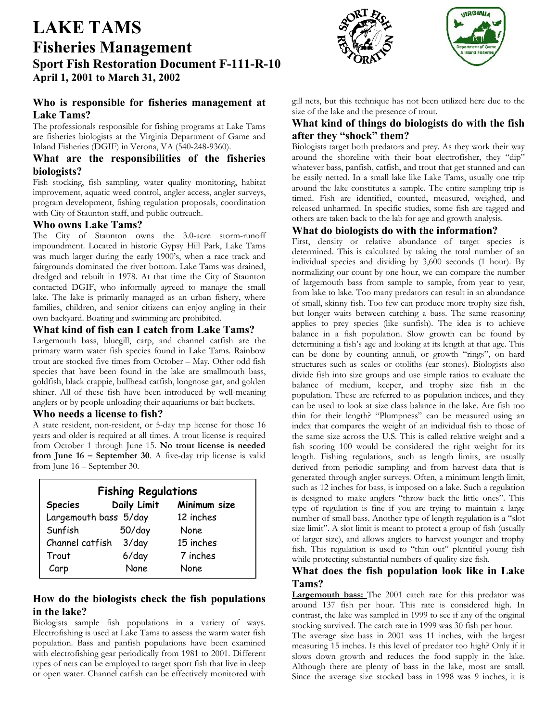# **LAKE TAMS Fisheries Management Sport Fish Restoration Document F-111-R-10 April 1, 2001 to March 31, 2002**

# **Who is responsible for fisheries management at Lake Tams?**

The professionals responsible for fishing programs at Lake Tams are fisheries biologists at the Virginia Department of Game and Inland Fisheries (DGIF) in Verona, VA (540-248-9360).

# **What are the responsibilities of the fisheries biologists?**

Fish stocking, fish sampling, water quality monitoring, habitat improvement, aquatic weed control, angler access, angler surveys, program development, fishing regulation proposals, coordination with City of Staunton staff, and public outreach.

### **Who owns Lake Tams?**

The City of Staunton owns the 3.0-acre storm-runoff impoundment. Located in historic Gypsy Hill Park, Lake Tams was much larger during the early 1900's, when a race track and fairgrounds dominated the river bottom. Lake Tams was drained, dredged and rebuilt in 1978. At that time the City of Staunton contacted DGIF, who informally agreed to manage the small lake. The lake is primarily managed as an urban fishery, where families, children, and senior citizens can enjoy angling in their own backyard. Boating and swimming are prohibited.

#### **What kind of fish can I catch from Lake Tams?**

Largemouth bass, bluegill, carp, and channel catfish are the primary warm water fish species found in Lake Tams. Rainbow trout are stocked five times from October – May. Other odd fish species that have been found in the lake are smallmouth bass, goldfish, black crappie, bullhead catfish, longnose gar, and golden shiner. All of these fish have been introduced by well-meaning anglers or by people unloading their aquariums or bait buckets.

#### **Who needs a license to fish?**

A state resident, non-resident, or 5-day trip license for those 16 years and older is required at all times. A trout license is required from October 1 through June 15. **No trout license is needed from June 16 – September 30**. A five-day trip license is valid from June 16 – September 30.

| <b>Fishing Regulations</b> |             |              |
|----------------------------|-------------|--------------|
| <b>Species</b>             | Daily Limit | Minimum size |
| Largemouth bass 5/day      |             | 12 inches    |
| Sunfish                    | $50$ /day   | <b>None</b>  |
| Channel catfish            | 3/day       | 15 inches    |
| Trout                      | $6$ /day    | 7 inches     |
| Carp                       | None        | <b>None</b>  |

# **How do the biologists check the fish populations in the lake?**

Biologists sample fish populations in a variety of ways. Electrofishing is used at Lake Tams to assess the warm water fish population. Bass and panfish populations have been examined with electrofishing gear periodically from 1981 to 2001. Different types of nets can be employed to target sport fish that live in deep or open water. Channel catfish can be effectively monitored with





gill nets, but this technique has not been utilized here due to the size of the lake and the presence of trout.

# **What kind of things do biologists do with the fish after they "shock" them?**

Biologists target both predators and prey. As they work their way around the shoreline with their boat electrofisher, they "dip" whatever bass, panfish, catfish, and trout that get stunned and can be easily netted. In a small lake like Lake Tams, usually one trip around the lake constitutes a sample. The entire sampling trip is timed. Fish are identified, counted, measured, weighed, and released unharmed. In specific studies, some fish are tagged and others are taken back to the lab for age and growth analysis.

# **What do biologists do with the information?**

First, density or relative abundance of target species is determined. This is calculated by taking the total number of an individual species and dividing by 3,600 seconds (1 hour). By normalizing our count by one hour, we can compare the number of largemouth bass from sample to sample, from year to year, from lake to lake. Too many predators can result in an abundance of small, skinny fish. Too few can produce more trophy size fish, but longer waits between catching a bass. The same reasoning applies to prey species (like sunfish). The idea is to achieve balance in a fish population. Slow growth can be found by determining a fish's age and looking at its length at that age. This can be done by counting annuli, or growth "rings", on hard structures such as scales or otoliths (ear stones). Biologists also divide fish into size groups and use simple ratios to evaluate the balance of medium, keeper, and trophy size fish in the population. These are referred to as population indices, and they can be used to look at size class balance in the lake. Are fish too thin for their length? "Plumpness" can be measured using an index that compares the weight of an individual fish to those of the same size across the U.S. This is called relative weight and a fish scoring 100 would be considered the right weight for its length. Fishing regulations, such as length limits, are usually derived from periodic sampling and from harvest data that is generated through angler surveys. Often, a minimum length limit, such as 12 inches for bass, is imposed on a lake. Such a regulation is designed to make anglers "throw back the little ones". This type of regulation is fine if you are trying to maintain a large number of small bass. Another type of length regulation is a "slot size limit". A slot limit is meant to protect a group of fish (usually of larger size), and allows anglers to harvest younger and trophy fish. This regulation is used to "thin out" plentiful young fish while protecting substantial numbers of quality size fish.

# **What does the fish population look like in Lake Tams?**

**Largemouth bass:** The 2001 catch rate for this predator was around 137 fish per hour. This rate is considered high. In contrast, the lake was sampled in 1999 to see if any of the original stocking survived. The catch rate in 1999 was 30 fish per hour.

The average size bass in 2001 was 11 inches, with the largest measuring 15 inches. Is this level of predator too high? Only if it slows down growth and reduces the food supply in the lake. Although there are plenty of bass in the lake, most are small. Since the average size stocked bass in 1998 was 9 inches, it is